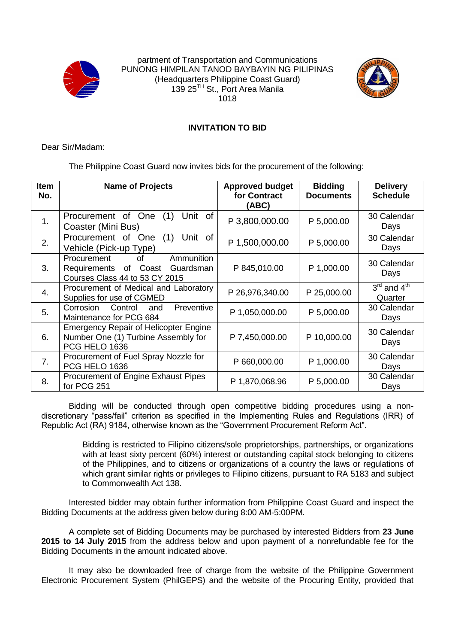



## **INVITATION TO BID**

Dear Sir/Madam:

The Philippine Coast Guard now invites bids for the procurement of the following:

| <b>Item</b><br>No. | <b>Name of Projects</b>                                                                                 | <b>Approved budget</b><br>for Contract<br>(ABC) | <b>Bidding</b><br><b>Documents</b> | <b>Delivery</b><br><b>Schedule</b>             |
|--------------------|---------------------------------------------------------------------------------------------------------|-------------------------------------------------|------------------------------------|------------------------------------------------|
| 1.                 | Unit of<br>Procurement of One<br>(1)<br>Coaster (Mini Bus)                                              | P 3,800,000.00                                  | P 5,000.00                         | 30 Calendar<br>Days                            |
| 2.                 | Unit<br>0f<br>Procurement of<br>One<br>(1)<br>Vehicle (Pick-up Type)                                    | P 1,500,000.00                                  | P 5,000.00                         | 30 Calendar<br>Days                            |
| 3.                 | Ammunition<br>Procurement<br>0f<br>Requirements of Coast<br>Guardsman<br>Courses Class 44 to 53 CY 2015 | P 845,010.00                                    | P 1,000.00                         | 30 Calendar<br>Days                            |
| 4.                 | Procurement of Medical and Laboratory<br>Supplies for use of CGMED                                      | P 26,976,340.00                                 | P 25,000.00                        | $3^{\text{rd}}$ and $4^{\text{th}}$<br>Quarter |
| 5.                 | Preventive<br>Control<br>Corrosion<br>and<br>Maintenance for PCG 684                                    | P 1,050,000.00                                  | P 5,000.00                         | 30 Calendar<br>Days                            |
| 6.                 | <b>Emergency Repair of Helicopter Engine</b><br>Number One (1) Turbine Assembly for<br>PCG HELO 1636    | P 7,450,000.00                                  | P 10,000.00                        | 30 Calendar<br>Days                            |
| 7.                 | Procurement of Fuel Spray Nozzle for<br>PCG HELO 1636                                                   | P 660,000.00                                    | P 1,000.00                         | 30 Calendar<br>Days                            |
| 8.                 | Procurement of Engine Exhaust Pipes<br>for PCG 251                                                      | P 1,870,068.96                                  | P 5,000.00                         | 30 Calendar<br>Days                            |

Bidding will be conducted through open competitive bidding procedures using a nondiscretionary "pass/fail" criterion as specified in the Implementing Rules and Regulations (IRR) of Republic Act (RA) 9184, otherwise known as the "Government Procurement Reform Act".

> Bidding is restricted to Filipino citizens/sole proprietorships, partnerships, or organizations with at least sixty percent (60%) interest or outstanding capital stock belonging to citizens of the Philippines, and to citizens or organizations of a country the laws or regulations of which grant similar rights or privileges to Filipino citizens, pursuant to RA 5183 and subject to Commonwealth Act 138.

Interested bidder may obtain further information from Philippine Coast Guard and inspect the Bidding Documents at the address given below during 8:00 AM-5:00PM.

A complete set of Bidding Documents may be purchased by interested Bidders from **23 June 2015 to 14 July 2015** from the address below and upon payment of a nonrefundable fee for the Bidding Documents in the amount indicated above.

It may also be downloaded free of charge from the website of the Philippine Government Electronic Procurement System (PhilGEPS) and the website of the Procuring Entity, provided that